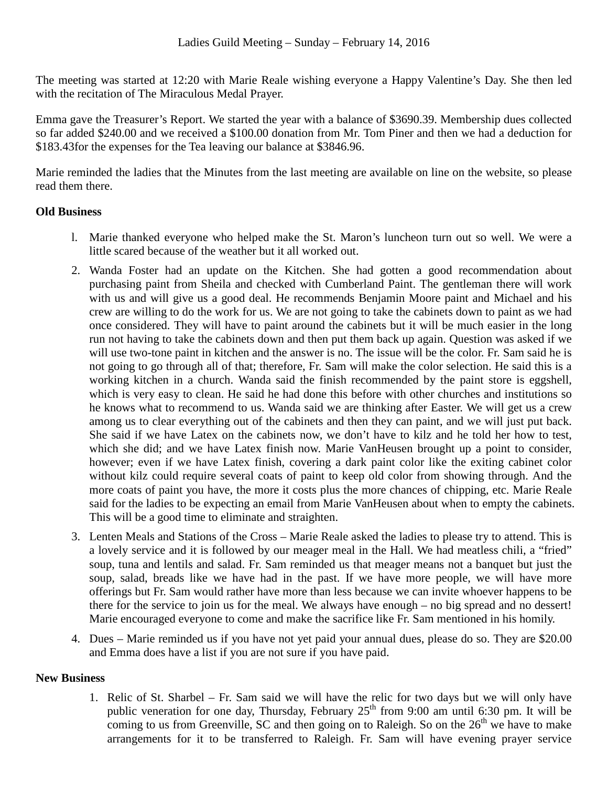The meeting was started at 12:20 with Marie Reale wishing everyone a Happy Valentine's Day. She then led with the recitation of The Miraculous Medal Prayer.

Emma gave the Treasurer's Report. We started the year with a balance of \$3690.39. Membership dues collected so far added \$240.00 and we received a \$100.00 donation from Mr. Tom Piner and then we had a deduction for \$183.43for the expenses for the Tea leaving our balance at \$3846.96.

Marie reminded the ladies that the Minutes from the last meeting are available on line on the website, so please read them there.

## **Old Business**

- l. Marie thanked everyone who helped make the St. Maron's luncheon turn out so well. We were a little scared because of the weather but it all worked out.
- 2. Wanda Foster had an update on the Kitchen. She had gotten a good recommendation about purchasing paint from Sheila and checked with Cumberland Paint. The gentleman there will work with us and will give us a good deal. He recommends Benjamin Moore paint and Michael and his crew are willing to do the work for us. We are not going to take the cabinets down to paint as we had once considered. They will have to paint around the cabinets but it will be much easier in the long run not having to take the cabinets down and then put them back up again. Question was asked if we will use two-tone paint in kitchen and the answer is no. The issue will be the color. Fr. Sam said he is not going to go through all of that; therefore, Fr. Sam will make the color selection. He said this is a working kitchen in a church. Wanda said the finish recommended by the paint store is eggshell, which is very easy to clean. He said he had done this before with other churches and institutions so he knows what to recommend to us. Wanda said we are thinking after Easter. We will get us a crew among us to clear everything out of the cabinets and then they can paint, and we will just put back. She said if we have Latex on the cabinets now, we don't have to kilz and he told her how to test, which she did; and we have Latex finish now. Marie VanHeusen brought up a point to consider, however; even if we have Latex finish, covering a dark paint color like the exiting cabinet color without kilz could require several coats of paint to keep old color from showing through. And the more coats of paint you have, the more it costs plus the more chances of chipping, etc. Marie Reale said for the ladies to be expecting an email from Marie VanHeusen about when to empty the cabinets. This will be a good time to eliminate and straighten.
- 3. Lenten Meals and Stations of the Cross Marie Reale asked the ladies to please try to attend. This is a lovely service and it is followed by our meager meal in the Hall. We had meatless chili, a "fried" soup, tuna and lentils and salad. Fr. Sam reminded us that meager means not a banquet but just the soup, salad, breads like we have had in the past. If we have more people, we will have more offerings but Fr. Sam would rather have more than less because we can invite whoever happens to be there for the service to join us for the meal. We always have enough – no big spread and no dessert! Marie encouraged everyone to come and make the sacrifice like Fr. Sam mentioned in his homily.
- 4. Dues Marie reminded us if you have not yet paid your annual dues, please do so. They are \$20.00 and Emma does have a list if you are not sure if you have paid.

## **New Business**

1. Relic of St. Sharbel – Fr. Sam said we will have the relic for two days but we will only have public veneration for one day, Thursday, February  $25<sup>th</sup>$  from 9:00 am until 6:30 pm. It will be coming to us from Greenville, SC and then going on to Raleigh. So on the  $26<sup>th</sup>$  we have to make arrangements for it to be transferred to Raleigh. Fr. Sam will have evening prayer service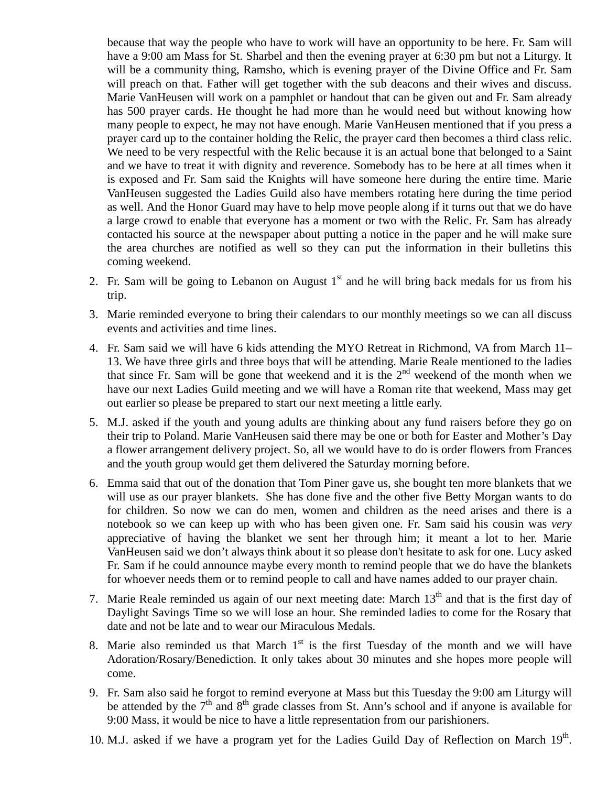because that way the people who have to work will have an opportunity to be here. Fr. Sam will have a 9:00 am Mass for St. Sharbel and then the evening prayer at 6:30 pm but not a Liturgy. It will be a community thing, Ramsho, which is evening prayer of the Divine Office and Fr. Sam will preach on that. Father will get together with the sub deacons and their wives and discuss. Marie VanHeusen will work on a pamphlet or handout that can be given out and Fr. Sam already has 500 prayer cards. He thought he had more than he would need but without knowing how many people to expect, he may not have enough. Marie VanHeusen mentioned that if you press a prayer card up to the container holding the Relic, the prayer card then becomes a third class relic. We need to be very respectful with the Relic because it is an actual bone that belonged to a Saint and we have to treat it with dignity and reverence. Somebody has to be here at all times when it is exposed and Fr. Sam said the Knights will have someone here during the entire time. Marie VanHeusen suggested the Ladies Guild also have members rotating here during the time period as well. And the Honor Guard may have to help move people along if it turns out that we do have a large crowd to enable that everyone has a moment or two with the Relic. Fr. Sam has already contacted his source at the newspaper about putting a notice in the paper and he will make sure the area churches are notified as well so they can put the information in their bulletins this coming weekend.

- 2. Fr. Sam will be going to Lebanon on August  $1<sup>st</sup>$  and he will bring back medals for us from his trip.
- 3. Marie reminded everyone to bring their calendars to our monthly meetings so we can all discuss events and activities and time lines.
- 4. Fr. Sam said we will have 6 kids attending the MYO Retreat in Richmond, VA from March 11– 13. We have three girls and three boys that will be attending. Marie Reale mentioned to the ladies that since Fr. Sam will be gone that weekend and it is the  $2<sup>nd</sup>$  weekend of the month when we have our next Ladies Guild meeting and we will have a Roman rite that weekend, Mass may get out earlier so please be prepared to start our next meeting a little early.
- 5. M.J. asked if the youth and young adults are thinking about any fund raisers before they go on their trip to Poland. Marie VanHeusen said there may be one or both for Easter and Mother's Day a flower arrangement delivery project. So, all we would have to do is order flowers from Frances and the youth group would get them delivered the Saturday morning before.
- 6. Emma said that out of the donation that Tom Piner gave us, she bought ten more blankets that we will use as our prayer blankets. She has done five and the other five Betty Morgan wants to do for children. So now we can do men, women and children as the need arises and there is a notebook so we can keep up with who has been given one. Fr. Sam said his cousin was *very* appreciative of having the blanket we sent her through him; it meant a lot to her. Marie VanHeusen said we don't always think about it so please don't hesitate to ask for one. Lucy asked Fr. Sam if he could announce maybe every month to remind people that we do have the blankets for whoever needs them or to remind people to call and have names added to our prayer chain.
- 7. Marie Reale reminded us again of our next meeting date: March  $13<sup>th</sup>$  and that is the first day of Daylight Savings Time so we will lose an hour. She reminded ladies to come for the Rosary that date and not be late and to wear our Miraculous Medals.
- 8. Marie also reminded us that March  $1<sup>st</sup>$  is the first Tuesday of the month and we will have Adoration/Rosary/Benediction. It only takes about 30 minutes and she hopes more people will come.
- 9. Fr. Sam also said he forgot to remind everyone at Mass but this Tuesday the 9:00 am Liturgy will be attended by the  $7<sup>th</sup>$  and  $8<sup>th</sup>$  grade classes from St. Ann's school and if anyone is available for 9:00 Mass, it would be nice to have a little representation from our parishioners.
- 10. M.J. asked if we have a program yet for the Ladies Guild Day of Reflection on March 19<sup>th</sup>.